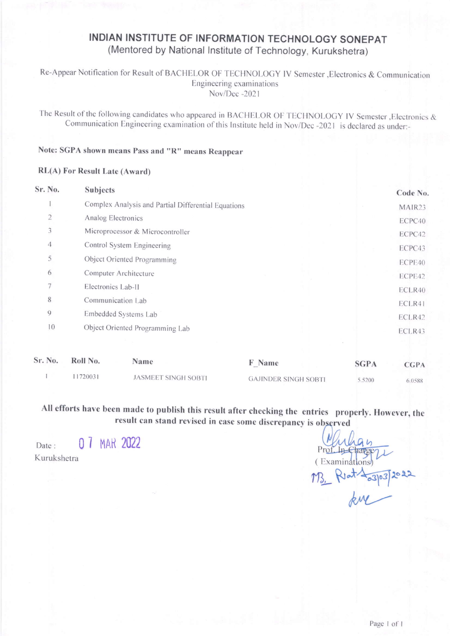# INDIAN INSTITUTE OF INFORMATION TECHNOLOGY SONEPAT (Mentored by National Institute of Technology, Kurukshetra)

Re-Appear Notification for Result of BACHELOR OF TECHNOLOGY IV Semester , Electronics & Communication Engineering examinations Nov/Dec -2021

The Result of the following candidates who appeared in BACHELOR OF TECHNOLOGY IV Semester , Electronics & Communication Engineering examination of this Institute held in Nov/Dec -2021 is declared as under:-

## Note: SGPA shown means Pass and "R" means Reappear

## RL(A) For Result Late (Award)

| Sr. No.           | <b>Subjects</b>                                     | Code No. |
|-------------------|-----------------------------------------------------|----------|
|                   | Complex Analysis and Partial Differential Equations | MAIR23   |
| $\overline{2}$    | Analog Electronics                                  | ECPC40   |
| 3                 | Microprocessor & Microcontroller                    | ECPC42   |
| $\overline{4}$    | Control System Engineering                          | ECPC43   |
| 5                 | Object Oriented Programming                         | ECPE40   |
| 6                 | Computer Architecture                               | ECPE42   |
| $\overline{\tau}$ | Electronics Lab-II                                  | ECLR40   |
| 8                 | Communication Lab                                   | ECLR41   |
| $\mathbf{Q}$      | Embedded Systems Lab                                | ECLR42   |
| 10                | Object Oriented Programming Lab                     | ECLR43   |
|                   |                                                     |          |

| Sr. No. | Roll No. | Name                       | F Name                      | <b>SGPA</b> | <b>CGPA</b> |
|---------|----------|----------------------------|-----------------------------|-------------|-------------|
|         | 1720031  | <b>JASMEET SINGH SOBTI</b> | <b>GAJINDER SINGH SOBTI</b> | 5.5200      | 6.0588      |

All efforts have been made to publish this result after checking the entries properly. However, the result can stand revised in case some discrepancy is observed

0 7 MAR 2022 Date: Kurukshetra

(Examinations)  $-$ Pot  $\frac{2}{3}$